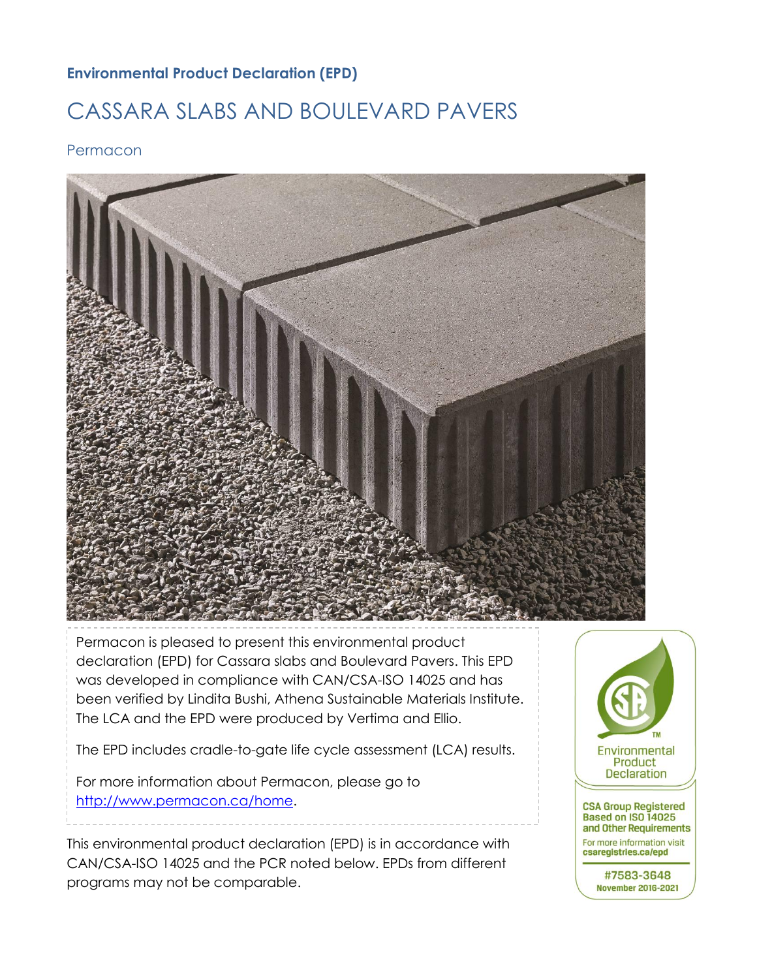## **Environmental Product Declaration (EPD)**

# CASSARA SLABS AND BOULEVARD PAVERS

Permacon



Permacon is pleased to present this environmental product declaration (EPD) for Cassara slabs and Boulevard Pavers. This EPD was developed in compliance with CAN/CSA-ISO 14025 and has been verified by Lindita Bushi, Athena Sustainable Materials Institute. The LCA and the EPD were produced by Vertima and Ellio.

The EPD includes cradle-to-gate life cycle assessment (LCA) results.

For more information about Permacon, please go to [http://www.permacon.ca/home.](http://www.permacon.ca/home)

This environmental product declaration (EPD) is in accordance with CAN/CSA-ISO 14025 and the PCR noted below. EPDs from different programs may not be comparable.  $\mathcal{F}_{\mathcal{F}}$  any explanatory material, in regards to this EPD, please contact contact contact contact contact contact contact contact contact contact contact contact contact contact contact contact contact contact conta the program operator.

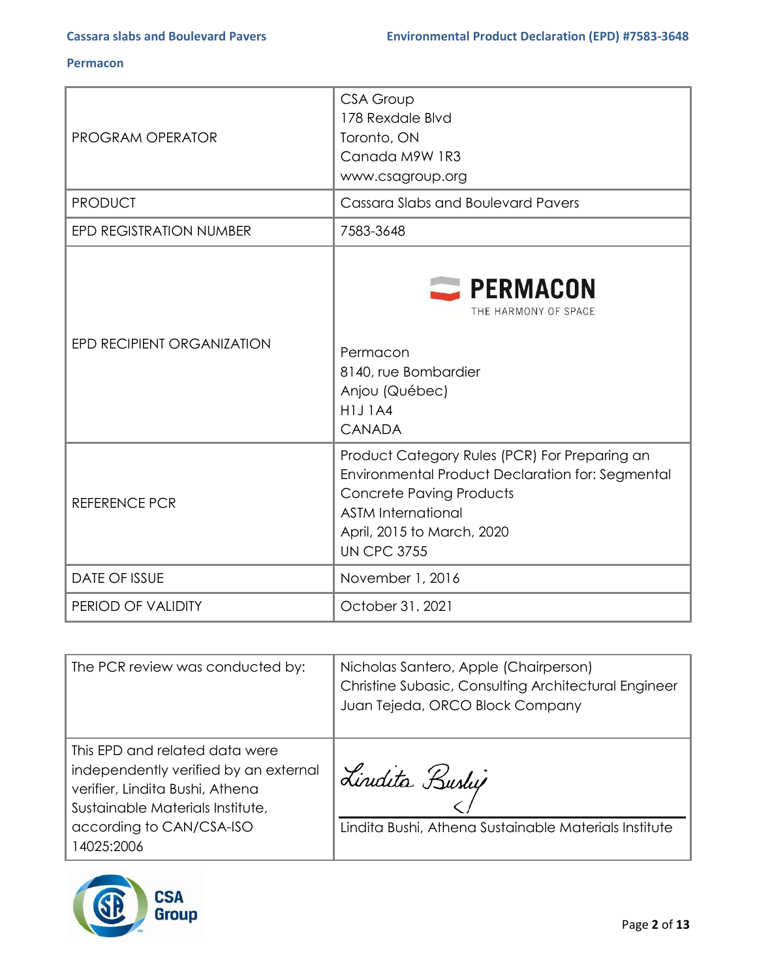| <b>PROGRAM OPERATOR</b>        | <b>CSA Group</b><br>178 Rexdale Blvd<br>Toronto, ON<br>Canada M9W 1R3<br>www.csagroup.org                                                                                                                             |
|--------------------------------|-----------------------------------------------------------------------------------------------------------------------------------------------------------------------------------------------------------------------|
| <b>PRODUCT</b>                 | Cassara Slabs and Boulevard Pavers                                                                                                                                                                                    |
| <b>EPD REGISTRATION NUMBER</b> | 7583-3648                                                                                                                                                                                                             |
| EPD RECIPIENT ORGANIZATION     | <b>EXPERMACON</b><br>THE HARMONY OF SPACE<br>Permacon<br>8140, rue Bombardier<br>Anjou (Québec)<br><b>H1J1A4</b><br><b>CANADA</b>                                                                                     |
| <b>REFERENCE PCR</b>           | Product Category Rules (PCR) For Preparing an<br>Environmental Product Declaration for: Segmental<br><b>Concrete Paving Products</b><br><b>ASTM International</b><br>April, 2015 to March, 2020<br><b>UN CPC 3755</b> |
| <b>DATE OF ISSUE</b>           | November 1, 2016                                                                                                                                                                                                      |
| PERIOD OF VALIDITY             | October 31. 2021                                                                                                                                                                                                      |

| The PCR review was conducted by:                                                                                                                                                         | Nicholas Santero, Apple (Chairperson)<br>Christine Subasic, Consulting Architectural Engineer<br>Juan Tejeda, ORCO Block Company |
|------------------------------------------------------------------------------------------------------------------------------------------------------------------------------------------|----------------------------------------------------------------------------------------------------------------------------------|
| This EPD and related data were<br>independently verified by an external<br>verifier, Lindita Bushi, Athena<br>Sustainable Materials Institute,<br>according to CAN/CSA-ISO<br>14025:2006 | Lindita Bushy<br>Lindita Bushi, Athena Sustainable Materials Institute                                                           |

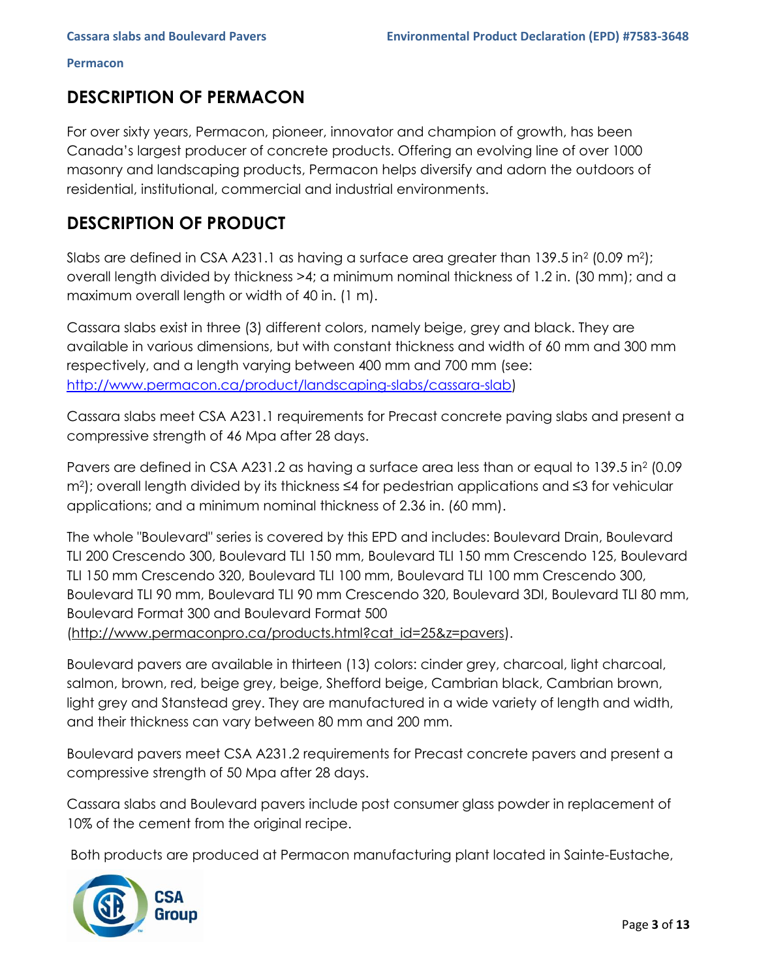## **DESCRIPTION OF PERMACON**

For over sixty years, Permacon, pioneer, innovator and champion of growth, has been Canada's largest producer of concrete products. Offering an evolving line of over 1000 masonry and landscaping products, Permacon helps diversify and adorn the outdoors of residential, institutional, commercial and industrial environments.

## **DESCRIPTION OF PRODUCT**

Slabs are defined in CSA A231.1 as having a surface area greater than 139.5 in<sup>2</sup> (0.09 m<sup>2</sup>); overall length divided by thickness >4; a minimum nominal thickness of 1.2 in. (30 mm); and a maximum overall length or width of 40 in. (1 m).

Cassara slabs exist in three (3) different colors, namely beige, grey and black. They are available in various dimensions, but with constant thickness and width of 60 mm and 300 mm respectively, and a length varying between 400 mm and 700 mm (see: [http://www.permacon.ca/product/landscaping-slabs/cassara-slab\)](http://www.permacon.ca/product/landscaping-slabs/cassara-slab)

Cassara slabs meet CSA A231.1 requirements for Precast concrete paving slabs and present a compressive strength of 46 Mpa after 28 days.

Pavers are defined in CSA A231.2 as having a surface area less than or equal to 139.5 in<sup>2</sup> (0.09) m2); overall length divided by its thickness ≤4 for pedestrian applications and ≤3 for vehicular applications; and a minimum nominal thickness of 2.36 in. (60 mm).

The whole "Boulevard" series is covered by this EPD and includes: Boulevard Drain, Boulevard TLI 200 Crescendo 300, Boulevard TLI 150 mm, Boulevard TLI 150 mm Crescendo 125, Boulevard TLI 150 mm Crescendo 320, Boulevard TLI 100 mm, Boulevard TLI 100 mm Crescendo 300, Boulevard TLI 90 mm, Boulevard TLI 90 mm Crescendo 320, Boulevard 3DI, Boulevard TLI 80 mm, Boulevard Format 300 and Boulevard Format 500 (http://www.permaconpro.ca/products.html?cat\_id=25&z=pavers).

Boulevard pavers are available in thirteen (13) colors: cinder grey, charcoal, light charcoal, salmon, brown, red, beige grey, beige, Shefford beige, Cambrian black, Cambrian brown, light grey and Stanstead grey. They are manufactured in a wide variety of length and width, and their thickness can vary between 80 mm and 200 mm.

Boulevard pavers meet CSA A231.2 requirements for Precast concrete pavers and present a compressive strength of 50 Mpa after 28 days.

Cassara slabs and Boulevard pavers include post consumer glass powder in replacement of 10% of the cement from the original recipe.

Both products are produced at Permacon manufacturing plant located in Sainte-Eustache,

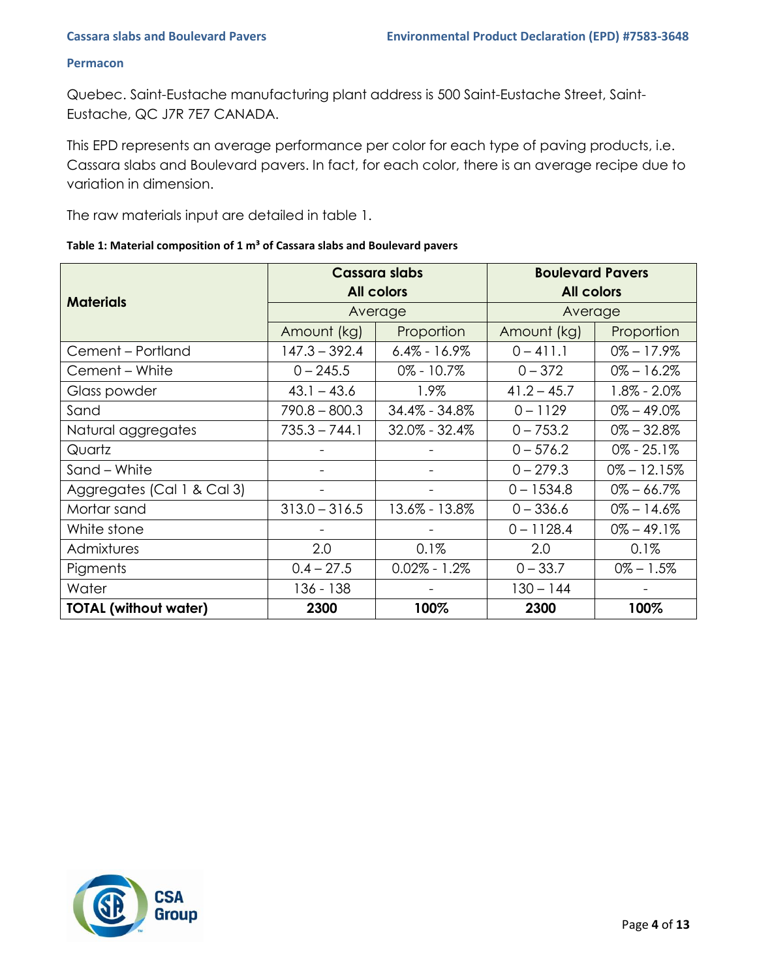Quebec. Saint-Eustache manufacturing plant address is 500 Saint-Eustache Street, Saint-Eustache, QC J7R 7E7 CANADA.

This EPD represents an average performance per color for each type of paving products, i.e. Cassara slabs and Boulevard pavers. In fact, for each color, there is an average recipe due to variation in dimension.

The raw materials input are detailed in table 1.

|  |  | Table 1: Material composition of 1 m <sup>3</sup> of Cassara slabs and Boulevard pavers |
|--|--|-----------------------------------------------------------------------------------------|
|--|--|-----------------------------------------------------------------------------------------|

|                              |                 | <b>Cassara slabs</b> | <b>Boulevard Pavers</b> |                 |  |  |
|------------------------------|-----------------|----------------------|-------------------------|-----------------|--|--|
| <b>Materials</b>             |                 | <b>All colors</b>    | <b>All colors</b>       |                 |  |  |
|                              |                 | Average              | Average                 |                 |  |  |
|                              | Amount (kg)     | Proportion           | Amount (kg)             | Proportion      |  |  |
| Cement - Portland            | $147.3 - 392.4$ | $6.4\% - 16.9\%$     | $0 - 411.1$             | $0\% - 17.9\%$  |  |  |
| Cement - White               | $0 - 245.5$     | $0\% - 10.7\%$       | $0 - 372$               | $0\% - 16.2\%$  |  |  |
| Glass powder                 | $43.1 - 43.6$   | 1.9%                 | $41.2 - 45.7$           | $1.8\% - 2.0\%$ |  |  |
| Sand                         | $790.8 - 800.3$ | 34.4% - 34.8%        | $0 - 1129$              | $0\% - 49.0\%$  |  |  |
| Natural aggregates           | $735.3 - 744.1$ | $32.0\% - 32.4\%$    | $0 - 753.2$             | $0\% - 32.8\%$  |  |  |
| Quartz                       |                 |                      | $0 - 576.2$             | $0\% - 25.1\%$  |  |  |
| Sand - White                 |                 |                      | $0 - 279.3$             | $0\% - 12.15\%$ |  |  |
| Aggregates (Cal 1 & Cal 3)   |                 |                      | $0 - 1534.8$            | $0\% - 66.7\%$  |  |  |
| Mortar sand                  | $313.0 - 316.5$ | 13.6% - 13.8%        | $0 - 336.6$             | $0\% - 14.6\%$  |  |  |
| White stone                  |                 |                      | $0 - 1128.4$            | $0\% - 49.1\%$  |  |  |
| Admixtures                   | 2.0             | 0.1%                 | 2.0                     | 0.1%            |  |  |
| Pigments                     | $0.4 - 27.5$    | $0.02\% - 1.2\%$     | $0 - 33.7$              | $0\% - 1.5\%$   |  |  |
| Water                        | 136 - 138       |                      | $130 - 144$             |                 |  |  |
| <b>TOTAL (without water)</b> | 2300            | 100%                 | 2300                    | 100%            |  |  |

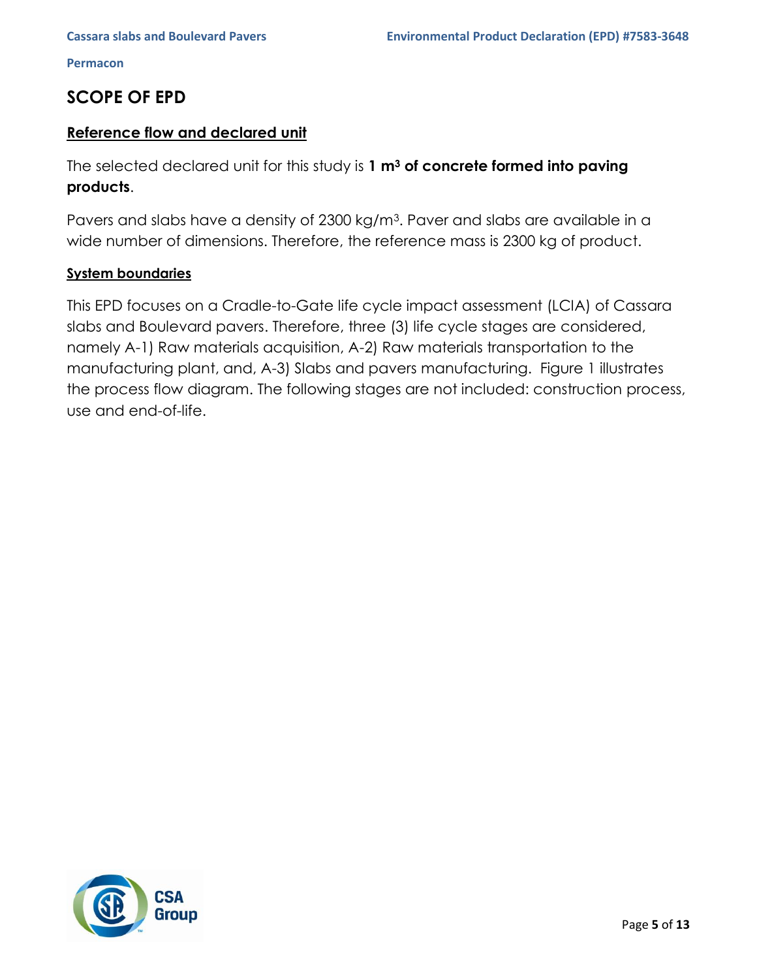## **SCOPE OF EPD**

## **Reference flow and declared unit**

The selected declared unit for this study is **1 m<sup>3</sup> of concrete formed into paving products**.

Pavers and slabs have a density of 2300 kg/m<sup>3</sup>. Paver and slabs are available in a wide number of dimensions. Therefore, the reference mass is 2300 kg of product.

### **System boundaries**

This EPD focuses on a Cradle-to-Gate life cycle impact assessment (LCIA) of Cassara slabs and Boulevard pavers. Therefore, three (3) life cycle stages are considered, namely A-1) Raw materials acquisition, A-2) Raw materials transportation to the manufacturing plant, and, A-3) Slabs and pavers manufacturing. Figure 1 illustrates the process flow diagram. The following stages are not included: construction process, use and end-of-life.

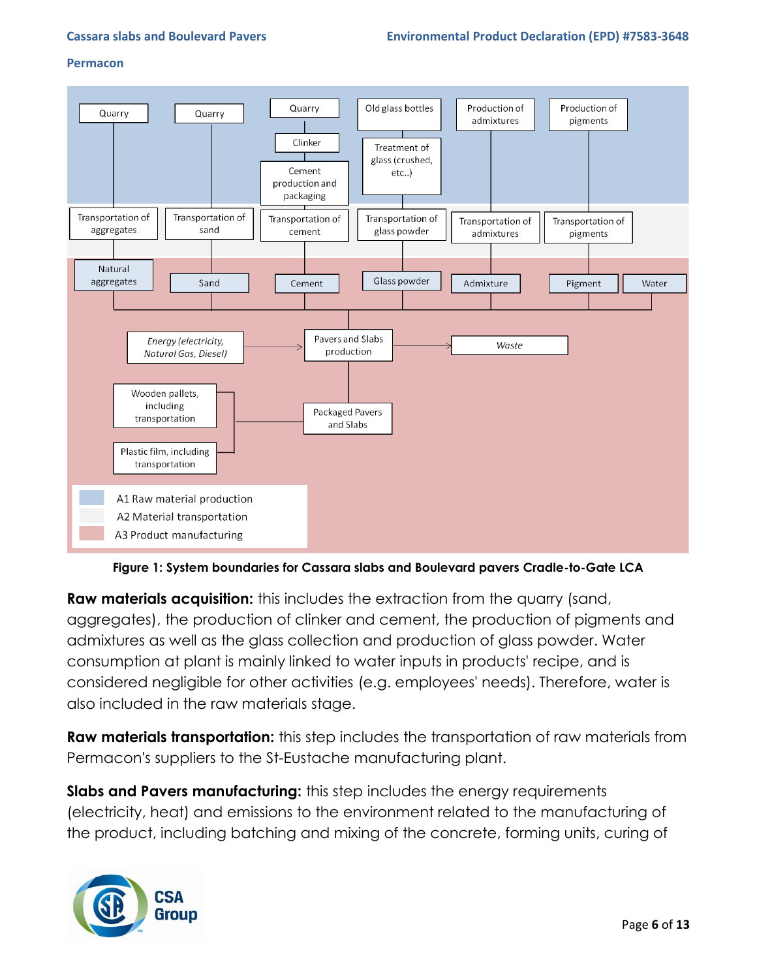

**Figure 1: System boundaries for Cassara slabs and Boulevard pavers Cradle-to-Gate LCA**

**Raw materials acquisition:** this includes the extraction from the quarry (sand, aggregates), the production of clinker and cement, the production of pigments and admixtures as well as the glass collection and production of glass powder. Water consumption at plant is mainly linked to water inputs in products' recipe, and is considered negligible for other activities (e.g. employees' needs). Therefore, water is also included in the raw materials stage.

**Raw materials transportation:** this step includes the transportation of raw materials from Permacon's suppliers to the St-Eustache manufacturing plant.

**Slabs and Pavers manufacturing:** this step includes the energy requirements (electricity, heat) and emissions to the environment related to the manufacturing of the product, including batching and mixing of the concrete, forming units, curing of

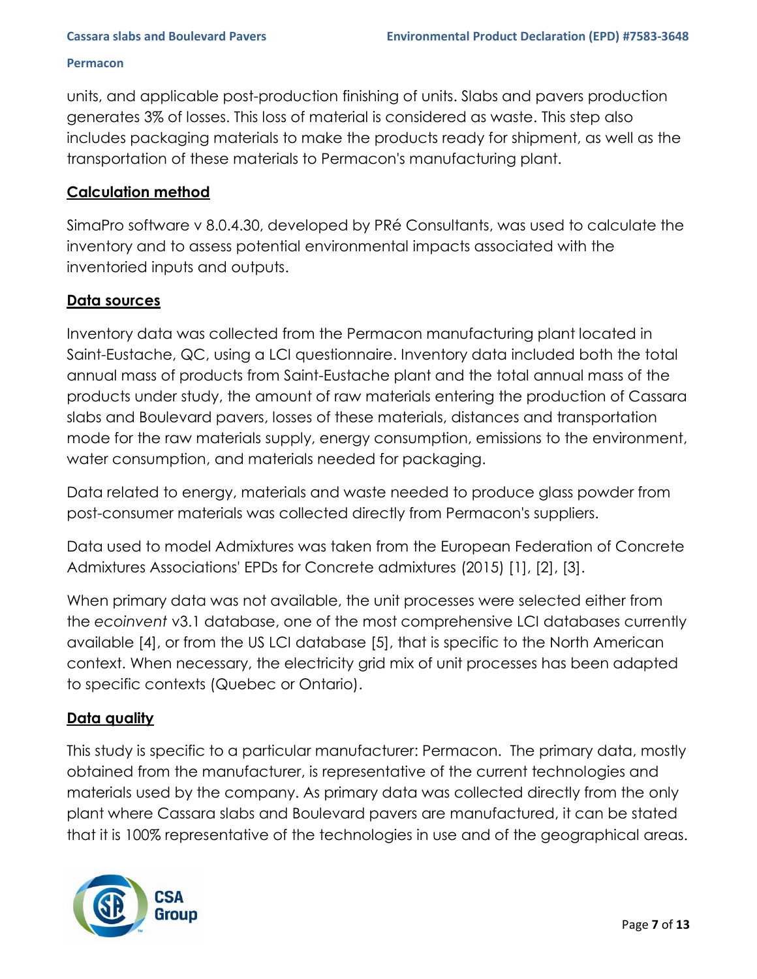units, and applicable post-production finishing of units. Slabs and pavers production generates 3% of losses. This loss of material is considered as waste. This step also includes packaging materials to make the products ready for shipment, as well as the transportation of these materials to Permacon's manufacturing plant.

## **Calculation method**

SimaPro software v 8.0.4.30, developed by PRé Consultants, was used to calculate the inventory and to assess potential environmental impacts associated with the inventoried inputs and outputs.

## **Data sources**

Inventory data was collected from the Permacon manufacturing plant located in Saint-Eustache, QC, using a LCI questionnaire. Inventory data included both the total annual mass of products from Saint-Eustache plant and the total annual mass of the products under study, the amount of raw materials entering the production of Cassara slabs and Boulevard pavers, losses of these materials, distances and transportation mode for the raw materials supply, energy consumption, emissions to the environment, water consumption, and materials needed for packaging.

Data related to energy, materials and waste needed to produce glass powder from post-consumer materials was collected directly from Permacon's suppliers.

Data used to model Admixtures was taken from the European Federation of Concrete Admixtures Associations' EPDs for Concrete admixtures (2015) [1], [2], [3].

When primary data was not available, the unit processes were selected either from the *ecoinvent* v3.1 database, one of the most comprehensive LCI databases currently available [4], or from the US LCI database [5], that is specific to the North American context. When necessary, the electricity grid mix of unit processes has been adapted to specific contexts (Quebec or Ontario).

## **Data quality**

This study is specific to a particular manufacturer: Permacon. The primary data, mostly obtained from the manufacturer, is representative of the current technologies and materials used by the company. As primary data was collected directly from the only plant where Cassara slabs and Boulevard pavers are manufactured, it can be stated that it is 100% representative of the technologies in use and of the geographical areas.

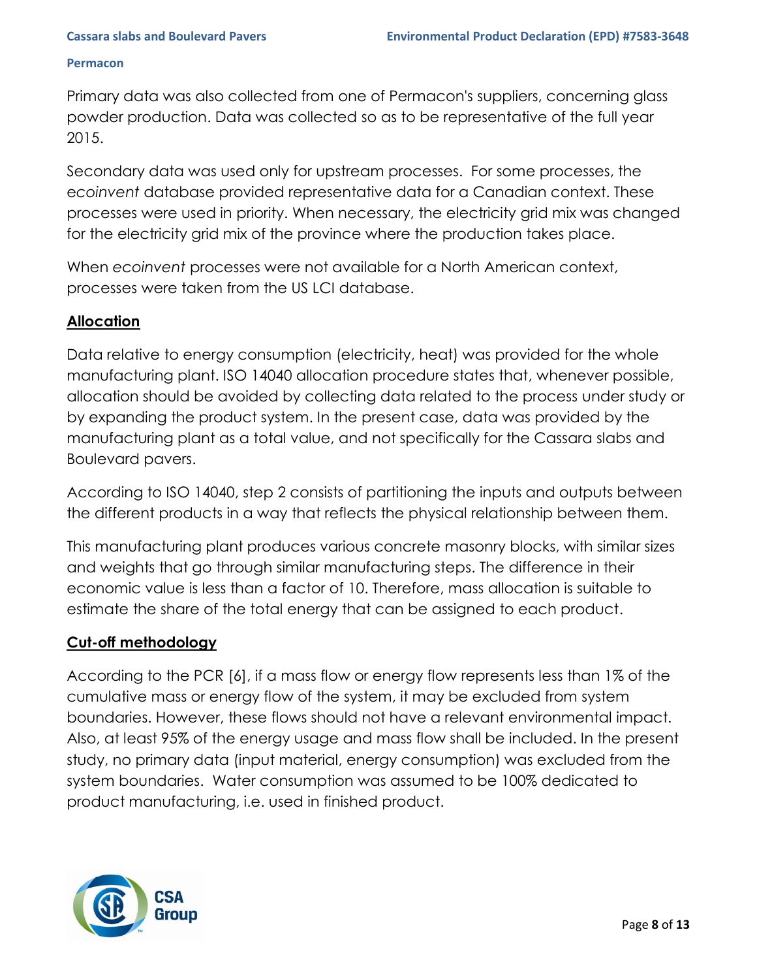Primary data was also collected from one of Permacon's suppliers, concerning glass powder production. Data was collected so as to be representative of the full year 2015.

Secondary data was used only for upstream processes. For some processes, the e*coinvent* database provided representative data for a Canadian context. These processes were used in priority. When necessary, the electricity grid mix was changed for the electricity grid mix of the province where the production takes place.

When *ecoinvent* processes were not available for a North American context, processes were taken from the US LCI database.

## **Allocation**

Data relative to energy consumption (electricity, heat) was provided for the whole manufacturing plant. ISO 14040 allocation procedure states that, whenever possible, allocation should be avoided by collecting data related to the process under study or by expanding the product system. In the present case, data was provided by the manufacturing plant as a total value, and not specifically for the Cassara slabs and Boulevard pavers.

According to ISO 14040, step 2 consists of partitioning the inputs and outputs between the different products in a way that reflects the physical relationship between them.

This manufacturing plant produces various concrete masonry blocks, with similar sizes and weights that go through similar manufacturing steps. The difference in their economic value is less than a factor of 10. Therefore, mass allocation is suitable to estimate the share of the total energy that can be assigned to each product.

### **Cut-off methodology**

According to the PCR [6], if a mass flow or energy flow represents less than 1% of the cumulative mass or energy flow of the system, it may be excluded from system boundaries. However, these flows should not have a relevant environmental impact. Also, at least 95% of the energy usage and mass flow shall be included. In the present study, no primary data (input material, energy consumption) was excluded from the system boundaries. Water consumption was assumed to be 100% dedicated to product manufacturing, i.e. used in finished product.

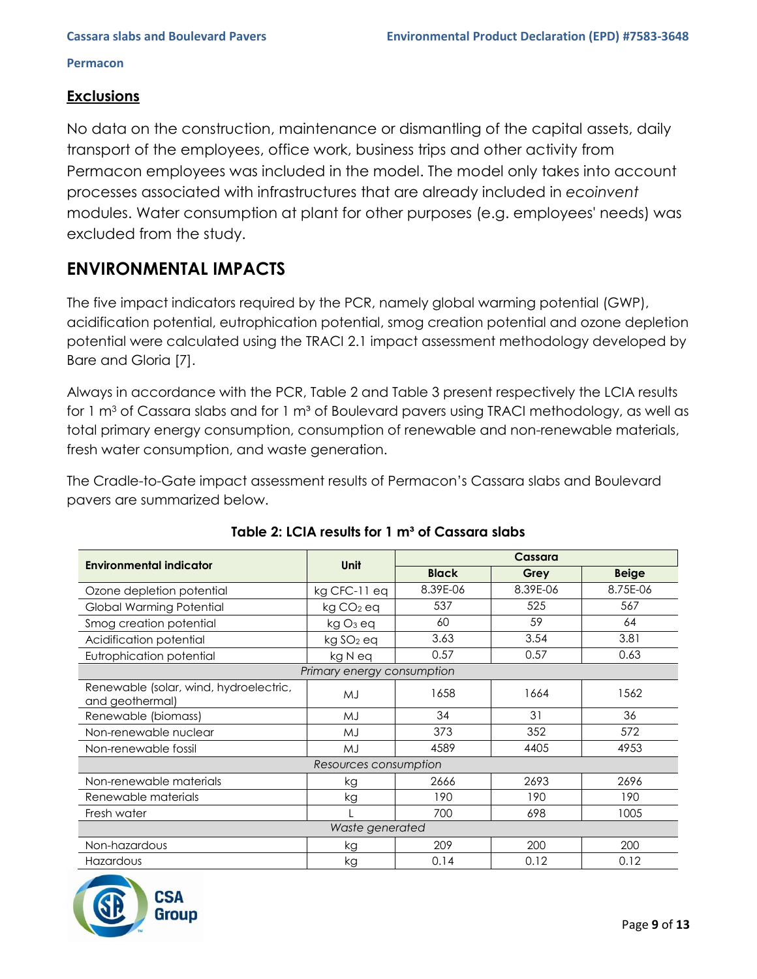## **Exclusions**

No data on the construction, maintenance or dismantling of the capital assets, daily transport of the employees, office work, business trips and other activity from Permacon employees was included in the model. The model only takes into account processes associated with infrastructures that are already included in *ecoinvent* modules. Water consumption at plant for other purposes (e.g. employees' needs) was excluded from the study.

## **ENVIRONMENTAL IMPACTS**

The five impact indicators required by the PCR, namely global warming potential (GWP), acidification potential, eutrophication potential, smog creation potential and ozone depletion potential were calculated using the TRACI 2.1 impact assessment methodology developed by Bare and Gloria [7].

Always in accordance with the PCR, Table 2 and Table 3 present respectively the LCIA results for 1 m<sup>3</sup> of Cassara slabs and for 1 m<sup>3</sup> of Boulevard pavers using TRACI methodology, as well as total primary energy consumption, consumption of renewable and non-renewable materials, fresh water consumption, and waste generation.

The Cradle-to-Gate impact assessment results of Permacon's Cassara slabs and Boulevard pavers are summarized below.

| <b>Environmental indicator</b>                            | Unit                       | Cassara      |          |              |  |  |  |
|-----------------------------------------------------------|----------------------------|--------------|----------|--------------|--|--|--|
|                                                           |                            | <b>Black</b> | Grey     | <b>Beige</b> |  |  |  |
| Ozone depletion potential                                 | kg CFC-11 eq               | 8.39E-06     | 8.39E-06 | 8.75E-06     |  |  |  |
| Global Warming Potential                                  | $kg CO2$ eq                | 537          | 525      | 567          |  |  |  |
| Smog creation potential                                   | kg O <sub>3</sub> eq       | 60           | 59       | 64           |  |  |  |
| Acidification potential                                   | kg SO <sub>2</sub> eq      | 3.63         | 3.54     | 3.81         |  |  |  |
| Eutrophication potential                                  | kg N eq                    | 0.57         | 0.57     | 0.63         |  |  |  |
|                                                           | Primary energy consumption |              |          |              |  |  |  |
| Renewable (solar, wind, hydroelectric,<br>and geothermal) | MJ                         | 1658         | 1664     | 1562         |  |  |  |
| Renewable (biomass)                                       | MJ                         | 34           | 31       | 36           |  |  |  |
| Non-renewable nuclear                                     | MJ                         | 373          | 352      | 572          |  |  |  |
| Non-renewable fossil                                      | MJ                         | 4589         | 4405     | 4953         |  |  |  |
|                                                           | Resources consumption      |              |          |              |  |  |  |
| Non-renewable materials                                   | kg                         | 2666         | 2693     | 2696         |  |  |  |
| Renewable materials                                       | kg                         | 190          | 190      | 190          |  |  |  |
| Fresh water                                               |                            | 700          | 698      | 1005         |  |  |  |
| Waste generated                                           |                            |              |          |              |  |  |  |
| Non-hazardous                                             | kg                         | 209          | 200      | 200          |  |  |  |
| Hazardous                                                 | kg                         | 0.14         | 0.12     | 0.12         |  |  |  |

## Table 2: LCIA results for 1 m<sup>3</sup> of Cassara slabs

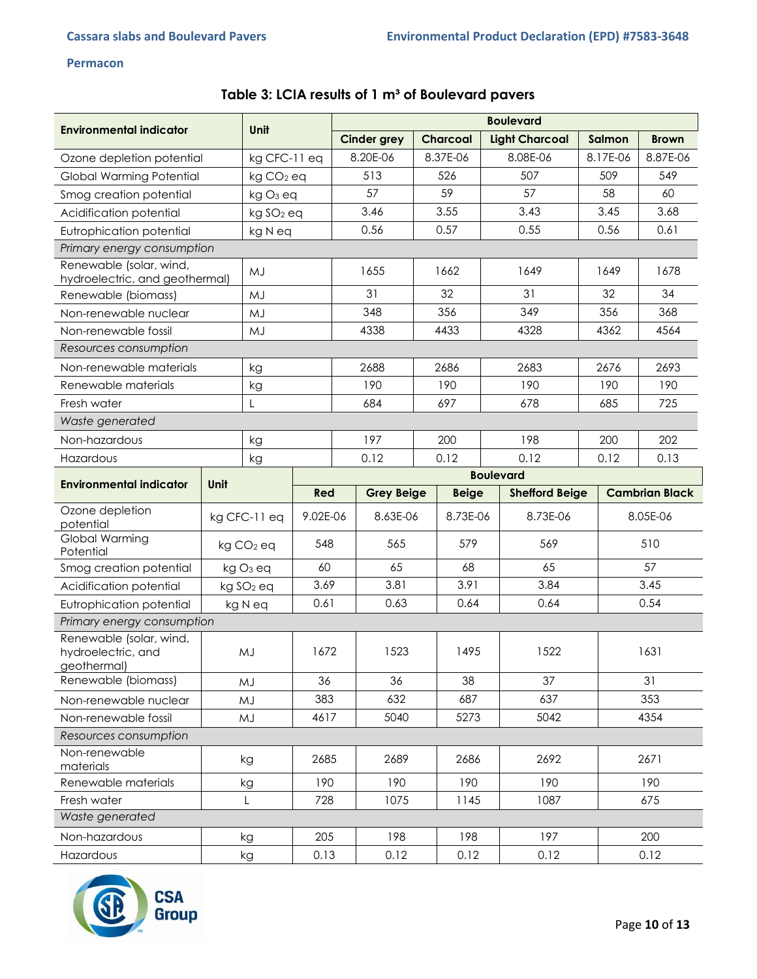| Table 3: LCIA results of 1 m <sup>3</sup> of Boulevard pavers |  |  |  |  |
|---------------------------------------------------------------|--|--|--|--|
|---------------------------------------------------------------|--|--|--|--|

| <b>Environmental indicator</b>                               | <b>Unit</b> |                       | <b>Boulevard</b> |      |                    |          |                 |      |                       |      |                       |              |
|--------------------------------------------------------------|-------------|-----------------------|------------------|------|--------------------|----------|-----------------|------|-----------------------|------|-----------------------|--------------|
|                                                              |             |                       |                  |      | <b>Cinder grey</b> |          | <b>Charcoal</b> |      | <b>Light Charcoal</b> |      | Salmon                | <b>Brown</b> |
| Ozone depletion potential                                    |             | kg CFC-11 eq          |                  |      | 8.20E-06           | 8.37E-06 |                 |      | 8.08E-06              |      | 8.17E-06              | 8.87E-06     |
| Global Warming Potential                                     |             | $kg CO2$ eq           |                  |      | 513                | 526      |                 | 507  |                       |      | 509                   | 549          |
| Smog creation potential                                      |             | kg O <sub>3</sub> eq  |                  |      | 57                 |          | 59              | 57   |                       |      | 58                    | 60           |
| Acidification potential                                      |             | kg SO <sub>2</sub> eq |                  |      | 3.46               | 3.55     |                 |      | 3.43                  |      | 3.45                  | 3.68         |
| Eutrophication potential                                     |             | kg N eq               |                  |      | 0.56               |          | 0.57            |      | 0.55                  |      | 0.56                  | 0.61         |
| Primary energy consumption                                   |             |                       |                  |      |                    |          |                 |      |                       |      |                       |              |
| Renewable (solar, wind,<br>hydroelectric, and geothermal)    |             | MJ                    |                  |      | 1655               |          | 1662            |      | 1649                  |      | 1649                  | 1678         |
| Renewable (biomass)                                          |             | MJ                    |                  |      | 31                 |          | 32              |      | 31                    |      | 32                    | 34           |
| Non-renewable nuclear                                        |             | MJ                    |                  |      | 348                |          | 356             |      | 349                   |      | 356                   | 368          |
| Non-renewable fossil                                         |             | MJ                    |                  |      | 4338               |          | 4433            |      | 4328                  |      | 4362                  | 4564         |
| Resources consumption                                        |             |                       |                  |      |                    |          |                 |      |                       |      |                       |              |
| Non-renewable materials                                      |             | kg                    |                  |      | 2688               |          | 2686            |      | 2683                  |      | 2676                  | 2693         |
| Renewable materials                                          |             | kg                    |                  |      | 190                |          | 190             |      | 190                   |      | 190                   | 190          |
| Fresh water                                                  |             |                       |                  |      | 684                |          | 697             |      | 678                   |      | 685                   | 725          |
| Waste generated                                              |             |                       |                  |      |                    |          |                 |      |                       |      |                       |              |
| Non-hazardous                                                |             | kg                    |                  |      | 197                |          | 200             |      | 198                   |      | 200                   | 202          |
| Hazardous                                                    |             | kg                    |                  |      | 0.12               |          | 0.12            |      | 0.12                  | 0.12 |                       | 0.13         |
| <b>Environmental indicator</b>                               | Unit        |                       |                  |      |                    |          |                 |      | <b>Boulevard</b>      |      |                       |              |
|                                                              |             |                       | Red              |      | <b>Grey Beige</b>  |          | <b>Beige</b>    |      | <b>Shefford Beige</b> |      | <b>Cambrian Black</b> |              |
| Ozone depletion<br>potential                                 |             | kg CFC-11 eq          | 9.02E-06         |      | 8.63E-06           | 8.73E-06 |                 |      | 8.73E-06              |      | 8.05E-06              |              |
| Global Warming<br>Potential                                  |             | kg CO <sub>2</sub> eq | 548              |      | 565                |          | 579             |      | 569                   |      |                       | 510          |
| Smog creation potential                                      |             | $kgO3$ eq             | 60               |      | 65                 | 68       |                 |      | 65                    |      |                       | 57           |
| Acidification potential                                      |             | kg SO <sub>2</sub> eq | 3.69             |      | 3.81               |          | 3.91            |      | 3.84                  |      | 3.45                  |              |
| Eutrophication potential                                     |             | kg N eq               | 0.61             |      | 0.63               |          | 0.64            |      | 0.64                  | 0.54 |                       |              |
| Primary energy consumption                                   |             |                       |                  |      |                    |          |                 |      |                       |      |                       |              |
| Renewable (solar, wind,<br>hydroelectric, and<br>geothermal) |             | MJ                    | 1672             | 1523 |                    | 1495     |                 | 1522 |                       | 1631 |                       |              |
| Renewable (biomass)                                          |             | MJ                    | 36               |      | 36                 | 38       |                 | 37   |                       | 31   |                       |              |
| Non-renewable nuclear                                        |             | MJ                    | 383              |      | 632                | 687      |                 |      | 637                   |      | 353                   |              |
| Non-renewable fossil                                         |             | MJ                    | 4617             | 5040 |                    | 5273     |                 |      | 5042                  |      | 4354                  |              |
| Resources consumption                                        |             |                       |                  |      |                    |          |                 |      |                       |      |                       |              |
| Non-renewable<br>materials                                   |             | kg                    | 2685             |      | 2689               |          | 2686            |      | 2692                  |      | 2671                  |              |
| Renewable materials                                          |             | kg                    | 190              |      | 190                |          | 190             |      | 190                   |      |                       | 190          |
| Fresh water                                                  |             | L                     | 728              |      | 1075               |          | 1145            |      | 1087                  |      |                       | 675          |
| Waste generated                                              |             |                       |                  |      |                    |          |                 |      |                       |      |                       |              |
| Non-hazardous                                                |             | kg                    | 205              |      | 198                |          | 198             |      | 197                   |      |                       | 200          |
| Hazardous                                                    |             | kg                    | 0.13             |      | 0.12               | 0.12     |                 | 0.12 |                       |      | 0.12                  |              |

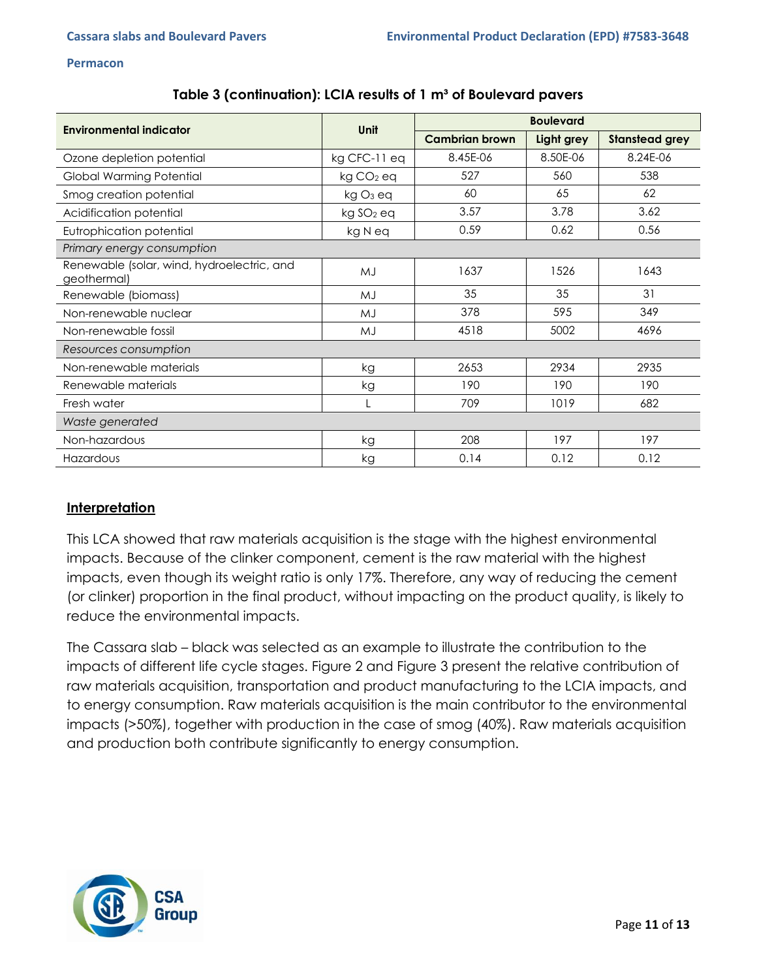|  | Table 3 (continuation): LCIA results of 1 m <sup>3</sup> of Boulevard pavers |  |
|--|------------------------------------------------------------------------------|--|
|--|------------------------------------------------------------------------------|--|

| Environmental indicator                                   | <b>Unit</b>           | <b>Boulevard</b>      |            |                       |  |  |
|-----------------------------------------------------------|-----------------------|-----------------------|------------|-----------------------|--|--|
|                                                           |                       | <b>Cambrian brown</b> | Light grey | <b>Stanstead grey</b> |  |  |
| Ozone depletion potential                                 | kg CFC-11 eq          | 8.45E-06              | 8.50E-06   | 8.24E-06              |  |  |
| Global Warming Potential                                  | kg CO <sub>2</sub> eq | 527                   | 560        | 538                   |  |  |
| Smog creation potential                                   | kg O <sub>3</sub> eq  | 60                    | 65         | 62                    |  |  |
| Acidification potential                                   | kg SO <sub>2</sub> eq | 3.57                  | 3.78       | 3.62                  |  |  |
| Eutrophication potential                                  | kg N eq               | 0.59                  | 0.62       | 0.56                  |  |  |
| Primary energy consumption                                |                       |                       |            |                       |  |  |
| Renewable (solar, wind, hydroelectric, and<br>geothermal) | MJ                    | 1637                  | 1526       | 1643                  |  |  |
| Renewable (biomass)                                       | MJ                    | 35                    | 35         | 31                    |  |  |
| Non-renewable nuclear                                     | MJ                    | 378                   | 595        | 349                   |  |  |
| Non-renewable fossil                                      | MJ                    | 4518                  | 5002       | 4696                  |  |  |
| Resources consumption                                     |                       |                       |            |                       |  |  |
| Non-renewable materials                                   | kg                    | 2653                  | 2934       | 2935                  |  |  |
| Renewable materials                                       | kg                    | 190                   | 190        | 190                   |  |  |
| Fresh water                                               |                       | 709                   | 1019       | 682                   |  |  |
| Waste generated                                           |                       |                       |            |                       |  |  |
| Non-hazardous                                             | kg                    | 208                   | 197        | 197                   |  |  |
| Hazardous                                                 | kg                    | 0.14                  | 0.12       | 0.12                  |  |  |

### **Interpretation**

This LCA showed that raw materials acquisition is the stage with the highest environmental impacts. Because of the clinker component, cement is the raw material with the highest impacts, even though its weight ratio is only 17%. Therefore, any way of reducing the cement (or clinker) proportion in the final product, without impacting on the product quality, is likely to reduce the environmental impacts.

The Cassara slab – black was selected as an example to illustrate the contribution to the impacts of different life cycle stages. Figure 2 and Figure 3 present the relative contribution of raw materials acquisition, transportation and product manufacturing to the LCIA impacts, and to energy consumption. Raw materials acquisition is the main contributor to the environmental impacts (>50%), together with production in the case of smog (40%). Raw materials acquisition and production both contribute significantly to energy consumption.

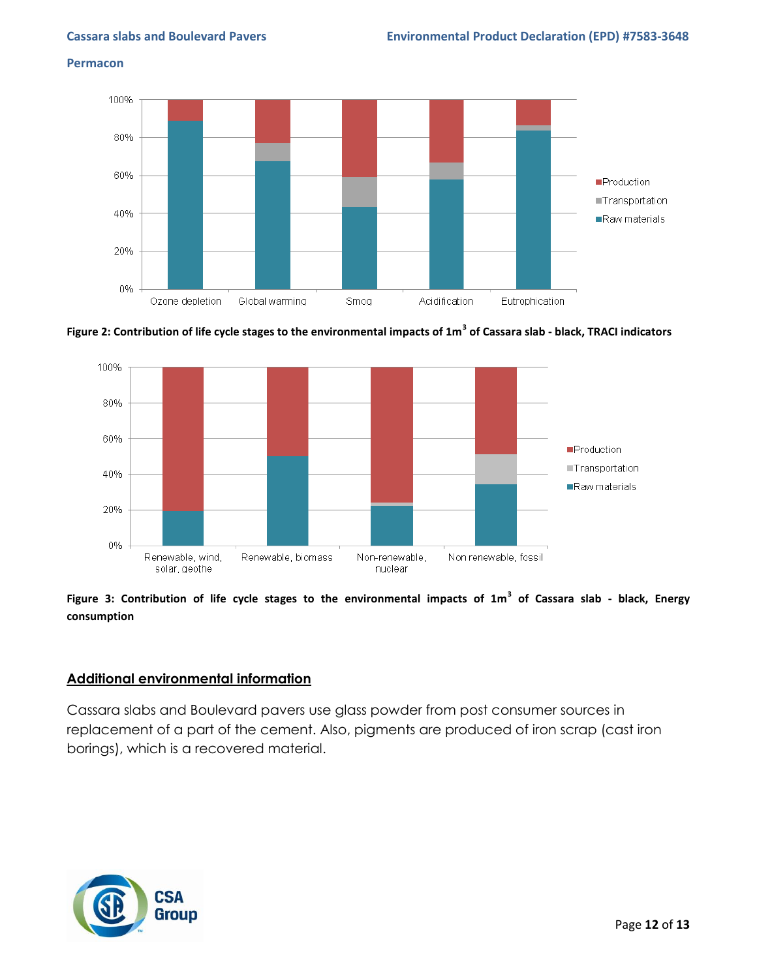

**Figure 2: Contribution of life cycle stages to the environmental impacts of 1m<sup>3</sup> of Cassara slab - black, TRACI indicators**



### **Figure 3: Contribution of life cycle stages to the environmental impacts of 1m<sup>3</sup> of Cassara slab - black, Energy consumption**

### **Additional environmental information**

Cassara slabs and Boulevard pavers use glass powder from post consumer sources in replacement of a part of the cement. Also, pigments are produced of iron scrap (cast iron borings), which is a recovered material.